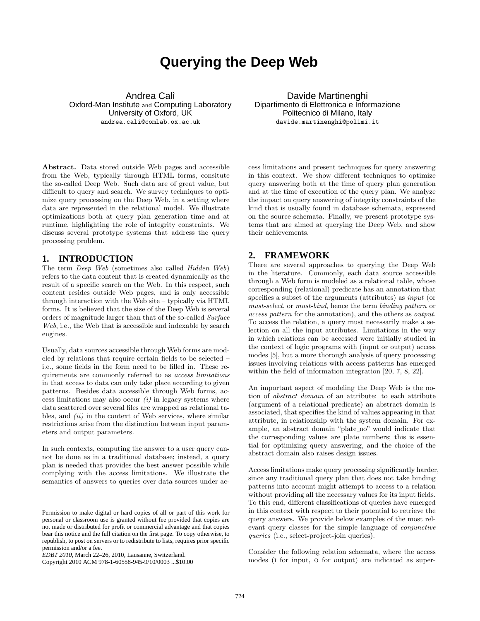# **Querying the Deep Web**

Andrea Calì Oxford-Man Institute and Computing Laboratory University of Oxford, UK andrea.cali@comlab.ox.ac.uk

Davide Martinenghi Dipartimento di Elettronica e Informazione Politecnico di Milano, Italy davide.martinenghi@polimi.it

Abstract. Data stored outside Web pages and accessible from the Web, typically through HTML forms, consitute the so-called Deep Web. Such data are of great value, but difficult to query and search. We survey techniques to optimize query processing on the Deep Web, in a setting where data are represented in the relational model. We illustrate optimizations both at query plan generation time and at runtime, highlighting the role of integrity constraints. We discuss several prototype systems that address the query processing problem.

## **1. INTRODUCTION**

The term Deep Web (sometimes also called Hidden Web) refers to the data content that is created dynamically as the result of a specific search on the Web. In this respect, such content resides outside Web pages, and is only accessible through interaction with the Web site – typically via HTML forms. It is believed that the size of the Deep Web is several orders of magnitude larger than that of the so-called Surface Web, i.e., the Web that is accessible and indexable by search engines.

Usually, data sources accessible through Web forms are modeled by relations that require certain fields to be selected – i.e., some fields in the form need to be filled in. These requirements are commonly referred to as access limitations in that access to data can only take place according to given patterns. Besides data accessible through Web forms, access limitations may also occur  $(i)$  in legacy systems where data scattered over several files are wrapped as relational tables, and  $(ii)$  in the context of Web services, where similar restrictions arise from the distinction between input parameters and output parameters.

In such contexts, computing the answer to a user query cannot be done as in a traditional database; instead, a query plan is needed that provides the best answer possible while complying with the access limitations. We illustrate the semantics of answers to queries over data sources under ac-

cess limitations and present techniques for query answering in this context. We show different techniques to optimize query answering both at the time of query plan generation and at the time of execution of the query plan. We analyze the impact on query answering of integrity constraints of the kind that is usually found in database schemata, expressed on the source schemata. Finally, we present prototype systems that are aimed at querying the Deep Web, and show their achievements.

## **2. FRAMEWORK**

There are several approaches to querying the Deep Web in the literature. Commonly, each data source accessible through a Web form is modeled as a relational table, whose corresponding (relational) predicate has an annotation that specifies a subset of the arguments (attributes) as input (or must-select, or must-bind, hence the term binding pattern or access pattern for the annotation), and the others as output. To access the relation, a query must necessarily make a selection on all the input attributes. Limitations in the way in which relations can be accessed were initially studied in the context of logic programs with (input or output) access modes [5], but a more thorough analysis of query processing issues involving relations with access patterns has emerged within the field of information integration [20, 7, 8, 22].

An important aspect of modeling the Deep Web is the notion of abstract domain of an attribute: to each attribute (argument of a relational predicate) an abstract domain is associated, that specifies the kind of values appearing in that attribute, in relationship with the system domain. For example, an abstract domain "plate\_no" would indicate that the corresponding values are plate numbers; this is essential for optimizing query answering, and the choice of the abstract domain also raises design issues.

Access limitations make query processing significantly harder, since any traditional query plan that does not take binding patterns into account might attempt to access to a relation without providing all the necessary values for its input fields. To this end, different classifications of queries have emerged in this context with respect to their potential to retrieve the query answers. We provide below examples of the most relevant query classes for the simple language of conjunctive queries (i.e., select-project-join queries).

Consider the following relation schemata, where the access modes (i for input, o for output) are indicated as super-

Permission to make digital or hard copies of all or part of this work for personal or classroom use is granted without fee provided that copies are not made or distributed for profit or commercial advantage and that copies bear this notice and the full citation on the first page. To copy otherwise, to republish, to post on servers or to redistribute to lists, requires prior specific permission and/or a fee.

*EDBT 2010*, March 22–26, 2010, Lausanne, Switzerland.

Copyright 2010 ACM 978-1-60558-945-9/10/0003 ...\$10.00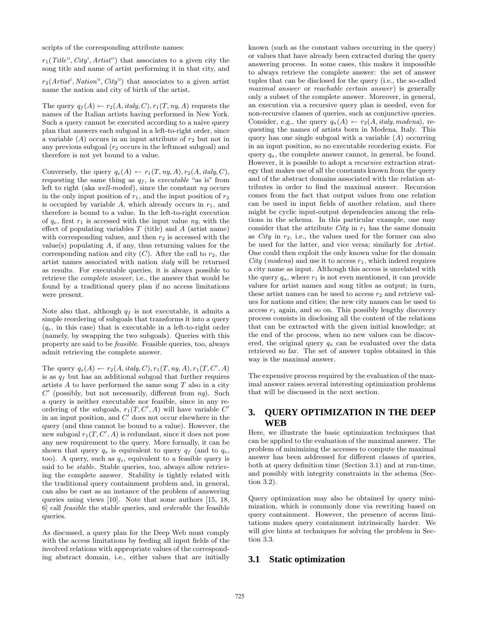scripts of the corresponding attribute names:

 $r_1(Title^{\circ}, City^{\rm I}, Artist^{\rm o})$  that associates to a given city the song title and name of artist performing it in that city, and

 $r_2(Artist^1, Nation^0, City^0)$  that associates to a given artist name the nation and city of birth of the artist.

The query  $q_f(A) \leftarrow r_2(A, \text{italy}, C), r_1(T, ny, A)$  requests the names of the Italian artists having performed in New York. Such a query cannot be executed according to a naive query plan that answers each subgoal in a left-to-right order, since a variable  $(A)$  occurs in an input attribute of  $r_2$  but not in any previous subgoal  $(r_2 \text{ occurs in the leftmost subgoal})$  and therefore is not yet bound to a value.

Conversely, the query  $q_e(A) \leftarrow r_1(T, ny, A), r_2(A, italy, C),$ requesting the same thing as  $q_f$ , is executable "as is" from left to right (aka well-moded), since the constant ny occurs in the only input position of  $r_1$ , and the input position of  $r_2$ is occupied by variable  $A$ , which already occurs in  $r_1$ , and therefore is bound to a value. In the left-to-right execution of  $q_e$ , first  $r_1$  is accessed with the input value  $ny$ , with the effect of populating variables  $T$  (title) and  $A$  (artist name) with corresponding values, and then  $r_2$  is accessed with the value(s) populating  $A$ , if any, thus returning values for the corresponding nation and city  $(C)$ . After the call to  $r_2$ , the artist names associated with nation italy will be returned as results. For executable queries, it is always possible to retrieve the complete answer, i.e., the answer that would be found by a traditional query plan if no access limitations were present.

Note also that, although  $q_f$  is not executable, it admits a simple reordering of subgoals that transforms it into a query  $(q_e, \text{ in this case})$  that is executable in a left-to-right order (namely, by swapping the two subgoals). Queries with this property are said to be feasible. Feasible queries, too, always admit retrieving the complete answer.

The query  $q_s(A) \leftarrow r_2(A, \text{italy}, C), r_1(T, \text{ny}, A), r_1(T, C', A)$ is as  $q_f$  but has an additional subgoal that further requires artists  $A$  to have performed the same song  $T$  also in a city  $C'$  (possibly, but not necessarily, different from  $ny$ ). Such a query is neither executable nor feasible, since in any reordering of the subgoals,  $r_1(T, C', A)$  will have variable  $C'$ in an input position, and  $C'$  does not occur elsewhere in the query (and thus cannot be bound to a value). However, the new subgoal  $r_1(T, C', A)$  is redundant, since it does not pose any new requirement to the query. More formally, it can be shown that query  $q_s$  is equivalent to query  $q_f$  (and to  $q_e$ , too). A query, such as  $q_s$ , equivalent to a feasible query is said to be *stable*. Stable queries, too, always allow retrieving the complete answer. Stability is tightly related with the traditional query containment problem and, in general, can also be cast as an instance of the problem of answering queries using views [10]. Note that some authors [15, 18, 6] call feasible the stable queries, and orderable the feasible queries.

As discussed, a query plan for the Deep Web must comply with the access limitations by feeding all input fields of the involved relations with appropriate values of the corresponding abstract domain, i.e., either values that are initially

known (such as the constant values occurring in the query) or values that have already been extracted during the query answering process. In some cases, this makes it impossible to always retrieve the complete answer: the set of answer tuples that can be disclosed for the query (i.e., the so-called maximal answer or reachable certain answer) is generally only a subset of the complete answer. Moreover, in general, an execution via a recursive query plan is needed, even for non-recursive classes of queries, such as conjunctive queries. Consider, e.g., the query  $q_a(A) \leftarrow r_2(A, italy, modena)$ , requesting the names of artists born in Modena, Italy. This query has one single subgoal with a variable  $(A)$  occurring in an input position, so no executable reordering exists. For query  $q_a$ , the complete answer cannot, in general, be found. However, it is possible to adopt a recursive extraction strategy that makes use of all the constants known from the query and of the abstract domains associated with the relation attributes in order to find the maximal answer. Recursion comes from the fact that output values from one relation can be used in input fields of another relation, and there might be cyclic input-output dependencies among the relations in the schema. In this particular example, one may consider that the attribute  $City$  in  $r_1$  has the same domain as  $City$  in  $r_2$ , i.e., the values used for the former can also be used for the latter, and vice versa; similarly for Artist. One could then exploit the only known value for the domain City (modena) and use it to access  $r_1$ , which indeed requires a city name as input. Although this access is unrelated with the query  $q_a$ , where  $r_1$  is not even mentioned, it can provide values for artist names and song titles as output; in turn, these artist names can be used to access  $r_2$  and retrieve values for nations and cities; the new city names can be used to access  $r_1$  again, and so on. This possibly lengthy discovery process consists in disclosing all the content of the relations that can be extracted with the given initial knowledge; at the end of the process, when no new values can be discovered, the original query  $q_a$  can be evaluated over the data retrieved so far. The set of answer tuples obtained in this way is the maximal answer.

The expensive process required by the evaluation of the maximal answer raises several interesting optimization problems that will be discussed in the next section.

## **3. QUERY OPTIMIZATION IN THE DEEP WEB**

Here, we illustrate the basic optimization techniques that can be applied to the evaluation of the maximal answer. The problem of minimizing the accesses to compute the maximal answer has been addressed for different classes of queries, both at query definition time (Section 3.1) and at run-time, and possibly with integrity constraints in the schema (Section 3.2).

Query optimization may also be obtained by query minimization, which is commonly done via rewriting based on query containment. However, the presence of access limitations makes query containment intrinsically harder. We will give hints at techniques for solving the problem in Section 3.3.

#### **3.1 Static optimization**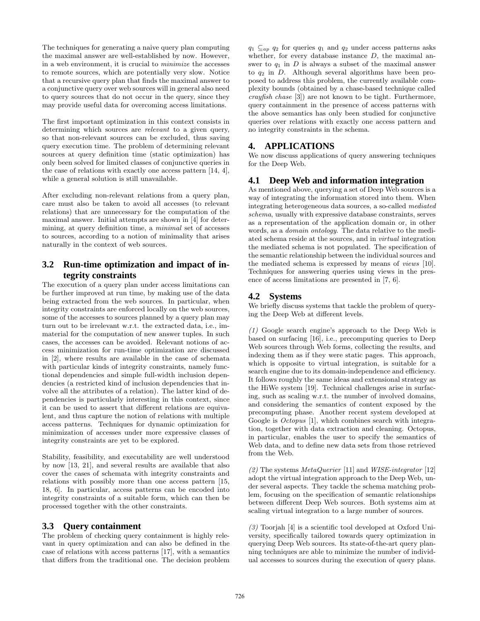The techniques for generating a naive query plan computing the maximal answer are well-established by now. However, in a web environment, it is crucial to minimize the accesses to remote sources, which are potentially very slow. Notice that a recursive query plan that finds the maximal answer to a conjunctive query over web sources will in general also need to query sources that do not occur in the query, since they may provide useful data for overcoming access limitations.

The first important optimization in this context consists in determining which sources are *relevant* to a given query, so that non-relevant sources can be excluded, thus saving query execution time. The problem of determining relevant sources at query definition time (static optimization) has only been solved for limited classes of conjunctive queries in the case of relations with exactly one access pattern [14, 4], while a general solution is still unavailable.

After excluding non-relevant relations from a query plan, care must also be taken to avoid all accesses (to relevant relations) that are unnecessary for the computation of the maximal answer. Initial attempts are shown in [4] for determining, at query definition time, a minimal set of accesses to sources, according to a notion of minimality that arises naturally in the context of web sources.

# **3.2 Run-time optimization and impact of integrity constraints**

The execution of a query plan under access limitations can be further improved at run time, by making use of the data being extracted from the web sources. In particular, when integrity constraints are enforced locally on the web sources, some of the accesses to sources planned by a query plan may turn out to be irrelevant w.r.t. the extracted data, i.e., immaterial for the computation of new answer tuples. In such cases, the accesses can be avoided. Relevant notions of access minimization for run-time optimization are discussed in [2], where results are available in the case of schemata with particular kinds of integrity constraints, namely functional dependencies and simple full-width inclusion dependencies (a restricted kind of inclusion dependencies that involve all the attributes of a relation). The latter kind of dependencies is particularly interesting in this context, since it can be used to assert that different relations are equivalent, and thus capture the notion of relations with multiple access patterns. Techniques for dynamic optimization for minimization of accesses under more expressive classes of integrity constraints are yet to be explored.

Stability, feasibility, and executability are well understood by now [13, 21], and several results are available that also cover the cases of schemata with integrity constraints and relations with possibly more than one access pattern [15, 18, 6]. In particular, access patterns can be encoded into integrity constraints of a suitable form, which can then be processed together with the other constraints.

# **3.3 Query containment**

The problem of checking query containment is highly relevant in query optimization and can also be defined in the case of relations with access patterns [17], with a semantics that differs from the traditional one. The decision problem  $q_1 \nsubseteq_{ap} q_2$  for queries  $q_1$  and  $q_2$  under access patterns asks whether, for every database instance  $D$ , the maximal answer to  $q_1$  in D is always a subset of the maximal answer to  $q_2$  in D. Although several algorithms have been proposed to address this problem, the currently available complexity bounds (obtained by a chase-based technique called crayfish chase [3]) are not known to be tight. Furthermore, query containment in the presence of access patterns with the above semantics has only been studied for conjunctive queries over relations with exactly one access pattern and no integrity constraints in the schema.

## **4. APPLICATIONS**

We now discuss applications of query answering techniques for the Deep Web.

## **4.1 Deep Web and information integration**

As mentioned above, querying a set of Deep Web sources is a way of integrating the information stored into them. When integrating heterogeneous data sources, a so-called mediated schema, usually with expressive database constraints, serves as a representation of the application domain or, in other words, as a domain ontology. The data relative to the mediated schema reside at the sources, and in virtual integration the mediated schema is not populated. The specification of the semantic relationship between the individual sources and the mediated schema is expressed by means of views [10]. Techniques for answering queries using views in the presence of access limitations are presented in [7, 6].

## **4.2 Systems**

We briefly discuss systems that tackle the problem of querying the Deep Web at different levels.

(1) Google search engine's approach to the Deep Web is based on surfacing [16], i.e., precomputing queries to Deep Web sources through Web forms, collecting the results, and indexing them as if they were static pages. This approach, which is opposite to virtual integration, is suitable for a search engine due to its domain-independence and efficiency. It follows roughly the same ideas and extensional strategy as the HiWe system [19]. Technical challenges arise in surfacing, such as scaling w.r.t. the number of involved domains, and considering the semantics of content exposed by the precomputing phase. Another recent system developed at Google is *Octopus* [1], which combines search with integration, together with data extraction and cleaning. Octopus, in particular, enables the user to specify the semantics of Web data, and to define new data sets from those retrieved from the Web.

(2) The systems  $MetaQuerier$  [11] and *WISE-integrator* [12] adopt the virtual integration approach to the Deep Web, under several aspects. They tackle the schema matching problem, focusing on the specification of semantic relationships between different Deep Web sources. Both systems aim at scaling virtual integration to a large number of sources.

(3) Toorjah [4] is a scientific tool developed at Oxford University, specifically tailored towards query optimization in querying Deep Web sources. Its state-of-the-art query planning techniques are able to minimize the number of individual accesses to sources during the execution of query plans.